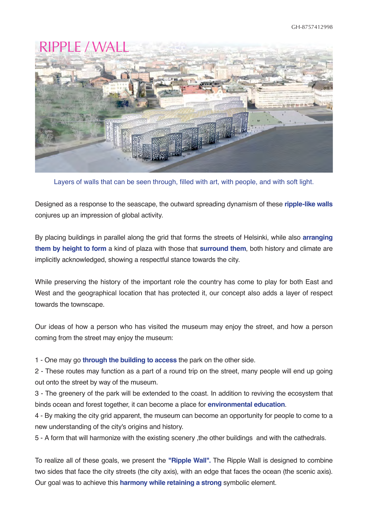

Layers of walls that can be seen through, filled with art, with people, and with soft light.

Designed as a response to the seascape, the outward spreading dynamism of these **ripple-like walls** conjures up an impression of global activity.

By placing buildings in parallel along the grid that forms the streets of Helsinki, while also **arranging them by height to form** a kind of plaza with those that **surround them**, both history and climate are implicitly acknowledged, showing a respectful stance towards the city.

While preserving the history of the important role the country has come to play for both East and West and the geographical location that has protected it, our concept also adds a layer of respect towards the townscape.

Our ideas of how a person who has visited the museum may enjoy the street, and how a person coming from the street may enjoy the museum:

1 - One may go **through the building to access** the park on the other side.

2 - These routes may function as a part of a round trip on the street, many people will end up going out onto the street by way of the museum.

3 - The greenery of the park will be extended to the coast. In addition to reviving the ecosystem that binds ocean and forest together, it can become a place for **environmental education**.

4 - By making the city grid apparent, the museum can become an opportunity for people to come to a new understanding of the city's origins and history.

5 - A form that will harmonize with the existing scenery ,the other buildings and with the cathedrals.

To realize all of these goals, we present the **"Ripple Wall".** The Ripple Wall is designed to combine two sides that face the city streets (the city axis), with an edge that faces the ocean (the scenic axis). Our goal was to achieve this **harmony while retaining a strong** symbolic element.